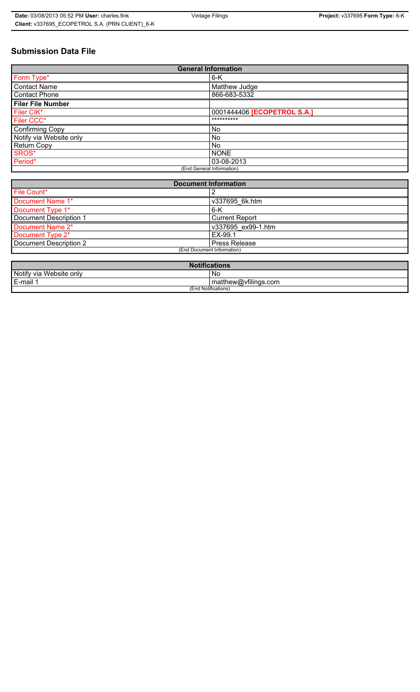# **Submission Data File**

| <b>General Information</b> |                                    |
|----------------------------|------------------------------------|
| Form Type*                 | $6-K$                              |
| <b>Contact Name</b>        | Matthew Judge                      |
| <b>Contact Phone</b>       | 866-683-5332                       |
| <b>Filer File Number</b>   |                                    |
| Filer CIK*                 | 0001444406 <b>[ECOPETROL S.A.]</b> |
| Filer CCC*                 | **********                         |
| <b>Confirming Copy</b>     | No.                                |
| Notify via Website only    | No.                                |
| <b>Return Copy</b>         | No.                                |
| SROS*                      | <b>NONE</b>                        |
| Period*                    | 03-08-2013                         |
| (End General Information)  |                                    |

| <b>Document Information</b> |                       |
|-----------------------------|-----------------------|
| File Count*                 |                       |
| Document Name 1*            | v337695 6k.htm        |
| Document Type 1*            | 6-K                   |
| Document Description 1      | <b>Current Report</b> |
| Document Name 2*            | v337695 ex99-1.htm    |
| Document Type 2*            | EX-99.1               |
| Document Description 2      | <b>Press Release</b>  |
| (End Document Information)  |                       |
|                             |                       |

| <b>Notifications</b>    |                      |
|-------------------------|----------------------|
| Notify via Website only | No                   |
| E-mail                  | matthew@vfilings.com |
| (End Notifications)     |                      |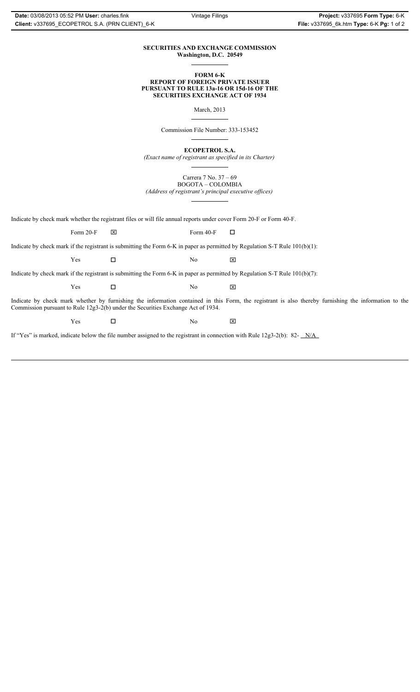#### **SECURITIES AND EXCHANGE COMMISSION Washington, D.C. 20549**

#### **FORM 6-K REPORT OF FOREIGN PRIVATE ISSUER PURSUANT TO RULE 13a-16 OR 15d-16 OF THE SECURITIES EXCHANGE ACT OF 1934**

March, 2013

Commission File Number: 333-153452

**ECOPETROL S.A.**

*(Exact name of registrant as specified in its Charter)*

Carrera 7 No. 37 – 69 BOGOTA – COLOMBIA

*(Address of registrant's principal executive offices)*

Indicate by check mark whether the registrant files or will file annual reports under cover Form 20-F or Form 40-F.

Form 20-F  $\boxtimes$  Form 40-F  $\Box$ 

Indicate by check mark if the registrant is submitting the Form 6-K in paper as permitted by Regulation S-T Rule 101(b)(1):

 $Yes$   $\Box$   $No$   $X$ 

Indicate by check mark if the registrant is submitting the Form 6-K in paper as permitted by Regulation S-T Rule 101(b)(7):

 $Yes$   $\Box$   $No$   $X$ 

Indicate by check mark whether by furnishing the information contained in this Form, the registrant is also thereby furnishing the information to the Commission pursuant to Rule 12g3-2(b) under the Securities Exchange Act of 1934.

 $Yes$   $\square$ 

If "Yes" is marked, indicate below the file number assigned to the registrant in connection with Rule 12g3-2(b): 82- N/A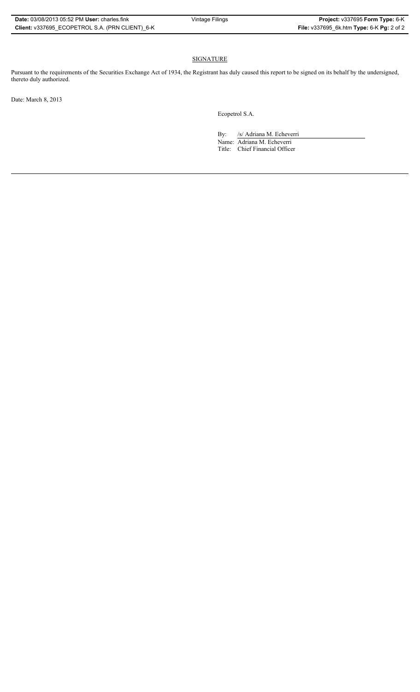### SIGNATURE

Pursuant to the requirements of the Securities Exchange Act of 1934, the Registrant has duly caused this report to be signed on its behalf by the undersigned, thereto duly authorized.

Date: March 8, 2013

Ecopetrol S.A.

By: /s/ Adriana M. Echeverri

Name: Adriana M. Echeverri Title: Chief Financial Officer